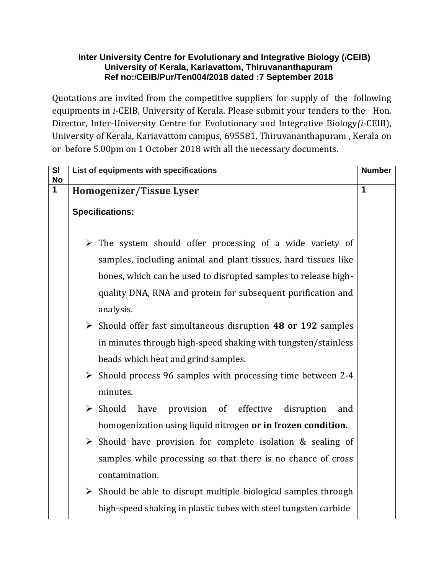## **Inter University Centre for Evolutionary and Integrative Biology (***i***CEIB) University of Kerala, Kariavattom, Thiruvananthapuram Ref no:***i***CEIB/Pur/Ten004/2018 dated :7 September 2018**

Quotations are invited from the competitive suppliers for supply of the following equipments in *i*-CEIB, University of Kerala. Please submit your tenders to the Hon. Director, Inter-University Centre for Evolutionary and Integrative Biology*(i*-CEIB), University of Kerala, Kariavattom campus, 695581, Thiruvananthapuram , Kerala on or before 5.00pm on 1 October 2018 with all the necessary documents.

| SI<br><b>No</b> | List of equipments with specifications                                               | <b>Number</b> |
|-----------------|--------------------------------------------------------------------------------------|---------------|
| $\mathbf 1$     | Homogenizer/Tissue Lyser                                                             | 1             |
|                 | <b>Specifications:</b>                                                               |               |
|                 | $\triangleright$ The system should offer processing of a wide variety of             |               |
|                 | samples, including animal and plant tissues, hard tissues like                       |               |
|                 | bones, which can he used to disrupted samples to release high-                       |               |
|                 | quality DNA, RNA and protein for subsequent purification and                         |               |
|                 | analysis.                                                                            |               |
|                 | $\triangleright$ Should offer fast simultaneous disruption 48 or 192 samples         |               |
|                 | in minutes through high-speed shaking with tungsten/stainless                        |               |
|                 | beads which heat and grind samples.                                                  |               |
|                 | $\triangleright$ Should process 96 samples with processing time between 2-4          |               |
|                 | minutes.                                                                             |               |
|                 | effective<br>$\triangleright$ Should<br>provision<br>of<br>have<br>disruption<br>and |               |
|                 | homogenization using liquid nitrogen or in frozen condition.                         |               |
|                 | $\triangleright$ Should have provision for complete isolation & sealing of           |               |
|                 | samples while processing so that there is no chance of cross                         |               |
|                 | contamination.                                                                       |               |
|                 | $\triangleright$ Should be able to disrupt multiple biological samples through       |               |
|                 | high-speed shaking in plastic tubes with steel tungsten carbide                      |               |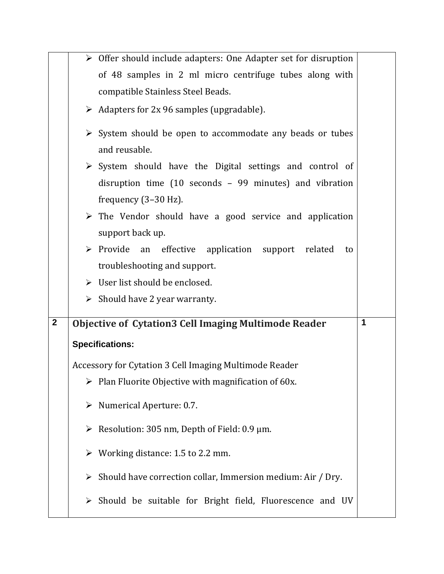|                |   | $\triangleright$ Offer should include adapters: One Adapter set for disruption |   |
|----------------|---|--------------------------------------------------------------------------------|---|
|                |   | of 48 samples in 2 ml micro centrifuge tubes along with                        |   |
|                |   | compatible Stainless Steel Beads.                                              |   |
|                |   | $\triangleright$ Adapters for 2x 96 samples (upgradable).                      |   |
|                |   | $\triangleright$ System should be open to accommodate any beads or tubes       |   |
|                |   | and reusable.                                                                  |   |
|                |   | $\triangleright$ System should have the Digital settings and control of        |   |
|                |   | disruption time (10 seconds - 99 minutes) and vibration                        |   |
|                |   | frequency $(3-30 Hz)$ .                                                        |   |
|                |   | $\triangleright$ The Vendor should have a good service and application         |   |
|                |   | support back up.                                                               |   |
|                |   | $\triangleright$ Provide an<br>effective application support related<br>to     |   |
|                |   | troubleshooting and support.                                                   |   |
|                |   | $\triangleright$ User list should be enclosed.                                 |   |
|                |   | $\triangleright$ Should have 2 year warranty.                                  |   |
| $\overline{2}$ |   | <b>Objective of Cytation3 Cell Imaging Multimode Reader</b>                    | 1 |
|                |   | <b>Specifications:</b>                                                         |   |
|                |   |                                                                                |   |
|                |   | Accessory for Cytation 3 Cell Imaging Multimode Reader                         |   |
|                |   | $\triangleright$ Plan Fluorite Objective with magnification of 60x.            |   |
|                |   | $\triangleright$ Numerical Aperture: 0.7.                                      |   |
|                |   | Example 205 km, Depth of Field: 0.9 $\mu$ m.                                   |   |
|                |   | $\triangleright$ Working distance: 1.5 to 2.2 mm.                              |   |
|                |   | Should have correction collar, Immersion medium: Air / Dry.                    |   |
|                | ≻ | Should be suitable for Bright field, Fluorescence and UV                       |   |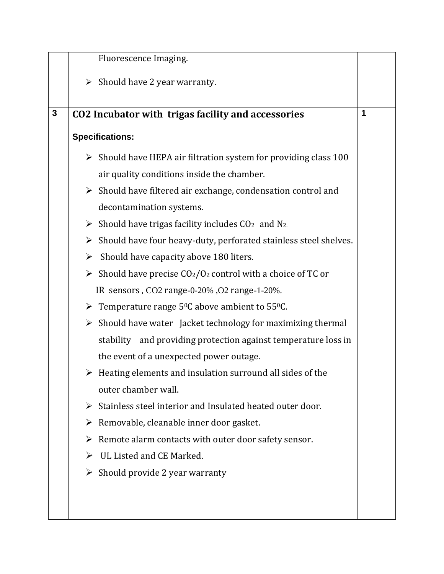|              |                       | Fluorescence Imaging.                                                                   |   |
|--------------|-----------------------|-----------------------------------------------------------------------------------------|---|
|              |                       | $\triangleright$ Should have 2 year warranty.                                           |   |
|              |                       |                                                                                         |   |
| $\mathbf{3}$ |                       | CO2 Incubator with trigas facility and accessories                                      | 1 |
|              |                       | <b>Specifications:</b>                                                                  |   |
|              |                       | $\triangleright$ Should have HEPA air filtration system for providing class 100         |   |
|              |                       | air quality conditions inside the chamber.                                              |   |
|              |                       | $\triangleright$ Should have filtered air exchange, condensation control and            |   |
|              |                       | decontamination systems.                                                                |   |
|              |                       | Should have trigas facility includes $CO2$ and N <sub>2.</sub>                          |   |
|              |                       | $\triangleright$ Should have four heavy-duty, perforated stainless steel shelves.       |   |
|              | $\blacktriangleright$ | Should have capacity above 180 liters.                                                  |   |
|              |                       | Should have precise $CO2/O2$ control with a choice of TC or                             |   |
|              |                       | IR sensors, CO2 range-0-20%, O2 range-1-20%.                                            |   |
|              |                       | $\triangleright$ Temperature range 5 <sup>0</sup> C above ambient to 55 <sup>0</sup> C. |   |
|              |                       | $\triangleright$ Should have water Jacket technology for maximizing thermal             |   |
|              |                       | stability and providing protection against temperature loss in                          |   |
|              |                       | the event of a unexpected power outage.                                                 |   |
|              |                       | $\triangleright$ Heating elements and insulation surround all sides of the              |   |
|              |                       | outer chamber wall.                                                                     |   |
|              | ≻                     | Stainless steel interior and Insulated heated outer door.                               |   |
|              | ➤                     | Removable, cleanable inner door gasket.                                                 |   |
|              | ➤                     | Remote alarm contacts with outer door safety sensor.                                    |   |
|              |                       | UL Listed and CE Marked.                                                                |   |
|              |                       | $\triangleright$ Should provide 2 year warranty                                         |   |
|              |                       |                                                                                         |   |
|              |                       |                                                                                         |   |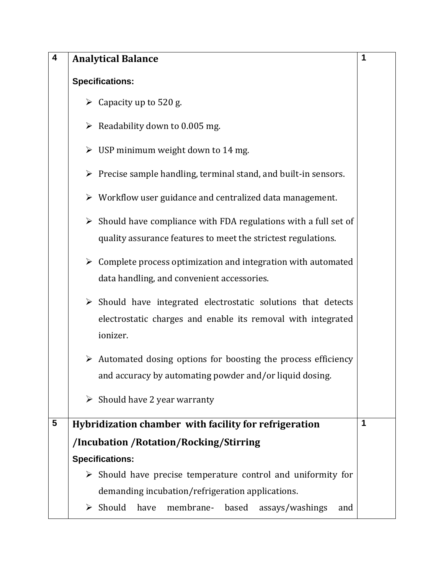| $\overline{\mathbf{4}}$ | <b>Analytical Balance</b>                                                                                                                                | 1 |
|-------------------------|----------------------------------------------------------------------------------------------------------------------------------------------------------|---|
|                         | <b>Specifications:</b>                                                                                                                                   |   |
|                         | $\triangleright$ Capacity up to 520 g.                                                                                                                   |   |
|                         | $\triangleright$ Readability down to 0.005 mg.                                                                                                           |   |
|                         | $\triangleright$ USP minimum weight down to 14 mg.                                                                                                       |   |
|                         | $\triangleright$ Precise sample handling, terminal stand, and built-in sensors.                                                                          |   |
|                         | $\triangleright$ Workflow user guidance and centralized data management.                                                                                 |   |
|                         | $\triangleright$ Should have compliance with FDA regulations with a full set of<br>quality assurance features to meet the strictest regulations.         |   |
|                         | $\triangleright$ Complete process optimization and integration with automated<br>data handling, and convenient accessories.                              |   |
|                         | $\triangleright$ Should have integrated electrostatic solutions that detects<br>electrostatic charges and enable its removal with integrated<br>ionizer. |   |
|                         | $\triangleright$ Automated dosing options for boosting the process efficiency<br>and accuracy by automating powder and/or liquid dosing.                 |   |
|                         | $\triangleright$ Should have 2 year warranty                                                                                                             |   |
| 5                       | Hybridization chamber with facility for refrigeration                                                                                                    | 1 |
|                         | /Incubation / Rotation/Rocking/Stirring                                                                                                                  |   |
|                         | <b>Specifications:</b>                                                                                                                                   |   |
|                         | $\triangleright$ Should have precise temperature control and uniformity for                                                                              |   |
|                         | demanding incubation/refrigeration applications.                                                                                                         |   |
|                         | Should<br>have<br>membrane-<br>based<br>assays/washings<br>➤<br>and                                                                                      |   |